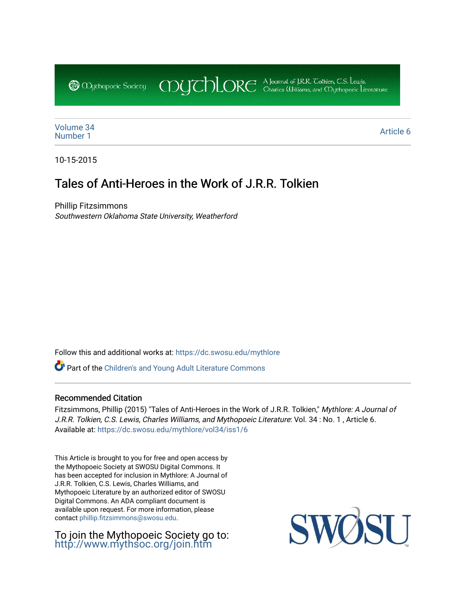CDUCHLORE A Journal of J.R.R. Coltien, C.S. Lewis,<br>CDUCHLORE Charles Williams, and Obyethopoeic Literacure **@** Mychopoeic Sociecy

[Volume 34](https://dc.swosu.edu/mythlore/vol34) [Number 1](https://dc.swosu.edu/mythlore/vol34/iss1) Article 6<br>Number 1 Article 6

10-15-2015

# Tales of Anti-Heroes in the Work of J.R.R. Tolkien

Phillip Fitzsimmons Southwestern Oklahoma State University, Weatherford

Follow this and additional works at: [https://dc.swosu.edu/mythlore](https://dc.swosu.edu/mythlore?utm_source=dc.swosu.edu%2Fmythlore%2Fvol34%2Fiss1%2F6&utm_medium=PDF&utm_campaign=PDFCoverPages) 

Part of the [Children's and Young Adult Literature Commons](http://network.bepress.com/hgg/discipline/1289?utm_source=dc.swosu.edu%2Fmythlore%2Fvol34%2Fiss1%2F6&utm_medium=PDF&utm_campaign=PDFCoverPages) 

### Recommended Citation

Fitzsimmons, Phillip (2015) "Tales of Anti-Heroes in the Work of J.R.R. Tolkien," Mythlore: A Journal of J.R.R. Tolkien, C.S. Lewis, Charles Williams, and Mythopoeic Literature: Vol. 34 : No. 1 , Article 6. Available at: [https://dc.swosu.edu/mythlore/vol34/iss1/6](https://dc.swosu.edu/mythlore/vol34/iss1/6?utm_source=dc.swosu.edu%2Fmythlore%2Fvol34%2Fiss1%2F6&utm_medium=PDF&utm_campaign=PDFCoverPages) 

This Article is brought to you for free and open access by the Mythopoeic Society at SWOSU Digital Commons. It has been accepted for inclusion in Mythlore: A Journal of J.R.R. Tolkien, C.S. Lewis, Charles Williams, and Mythopoeic Literature by an authorized editor of SWOSU Digital Commons. An ADA compliant document is available upon request. For more information, please contact [phillip.fitzsimmons@swosu.edu.](mailto:phillip.fitzsimmons@swosu.edu)

To join the Mythopoeic Society go to: <http://www.mythsoc.org/join.htm>

SWO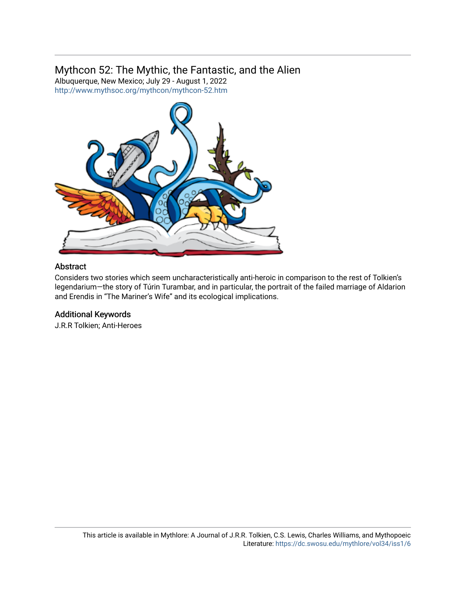## Mythcon 52: The Mythic, the Fantastic, and the Alien

Albuquerque, New Mexico; July 29 - August 1, 2022 <http://www.mythsoc.org/mythcon/mythcon-52.htm>



### Abstract

Considers two stories which seem uncharacteristically anti-heroic in comparison to the rest of Tolkien's legendarium—the story of Túrin Turambar, and in particular, the portrait of the failed marriage of Aldarion and Erendis in "The Mariner's Wife" and its ecological implications.

### Additional Keywords

J.R.R Tolkien; Anti-Heroes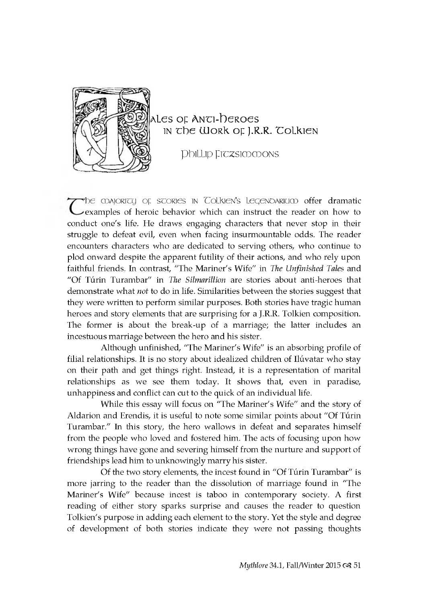

### ales of Anti-Deroes IN The Work of J.R.R. Tolkien

**Phillip Fitzsim m ons**

The majority of scories in Colkien's legenoarium offer dramatic examples of heroic behavior which can instruct the reader on how to conduct one's life. He draws engaging characters that never stop in their struggle to defeat evil, even when facing insurmountable odds. The reader en counters characters who are dedicated to serving others, who continue to plod onward despite the apparent futility of their actions, and who rely upon faithful friends. In contrast, "The Mariner's Wife" in *The Unfinished Tales* and "Of Turin Turambar" in *The Silmarillion* are stories about anti-heroes that demonstrate what *not* to do in life. Similarities between the stories suggest that they were written to perform similar purposes. Both stories have tragic human heroes and story elements that are surprising for a J.R.R. Tolkien composition. The former is about the break-up of a marriage; the latter includes an incestuous marriage between the hero and his sister.

Although unfinished, "The Mariner's Wife" is an absorbing profile of filial relationships. It is no story about idealized children of Ilúvatar who stay on their path and get things right. Instead, it is a representation of marital relationships as we see them today. It shows that, even in paradise, unhappiness and conflict can cut to the quick of an individual life.

While this essay will focus on "The Mariner's Wife" and the story of Aldarion and Erendis, it is useful to note some similar points about "Of Túrin Turambar." In this story, the hero wallows in defeat and separates himself from the people who loved and fostered him. The acts of focusing upon how wrong things have gone and severing himself from the nurture and support of friend ships lead him to unknowingly marry his sister.

Of the two story elements, the incest found in "Of Turin Turambar" is more jarring to the reader than the dissolution of marriage found in "The Mariner's Wife" because incest is taboo in contemporary society. A first reading of either story sparks surprise and causes the reader to question Tolkien's purpose in adding each element to the story. Yet the style and degree of development of both stories indicate they were not passing thoughts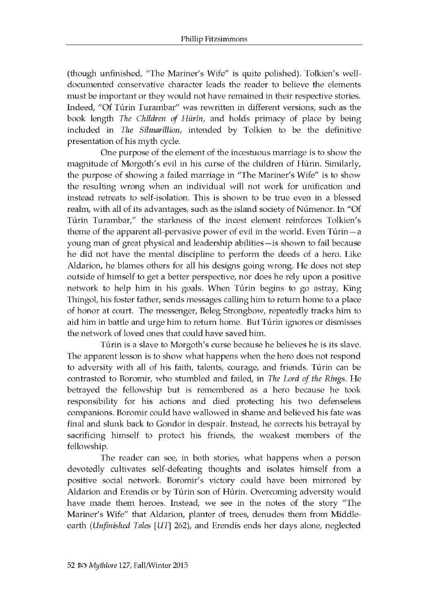(though unfinished, "The Mariner's Wife" is quite polished). Tolkien's welldocumented conservative character leads the reader to believe the elements must be important or they would not have remained in their respective stories. Indeed, "Of Túrin Turambar" was rewritten in different versions, such as the book length *The Children of Húrin*, and holds primacy of place by being included in *The Silmarillion*, intended by Tolkien to be the definitive presentation of his myth cycle.

One purpose of the element of the incestuous marriage is to show the magnitude of Morgoth's evil in his curse of the children of Húrin. Similarly, the purpose of showing a failed marriage in "The Mariner's Wife" is to show the resulting wrong when an individual will not work for unification and instead retreats to self-isolation. This is shown to be true even in a blessed realm, with all of its advantages, such as the island society of Númenor. In "Of Túrin Turambar," the starkness of the incest element reinforces Tolkien's theme of the apparent all-pervasive power of evil in the world. Even  $T$ u rin —a young man of great physical and leadership abilities—is shown to fail because he did not have the mental discipline to perform the deeds of a hero. Like Aldarion, he blames others for all his designs going wrong. He does not step outside of himself to get a better perspective, nor does he rely upon a positive network to help him in his goals. When Túrin begins to go astray, King Thingol, his foster father, sends messages calling him to return home to a place of honor at court. The messenger, Beleg Strongbow, repeatedly tracks him to aid him in battle and urge him to return home. But Túrin ignores or dismisses the network of loved ones that could have saved him.

Túrin is a slave to Morgoth's curse because he believes he is its slave. The apparent lesson is to show what happens when the hero does not respond to adversity with all of his faith, talents, courage, and friends. Túrin can be contrasted to Boromir, who stumbled and failed, in *The Lord of the Rings*. He betrayed the fellowship but is remembered as a hero because he took responsibility for his actions and died protecting his two defenseless companions. Boromir could have wallowed in shame and believed his fate was final and slunk back to Gondor in despair. Instead, he corrects his betrayal by sacrificing himself to protect his friends, the weakest members of the fellowship.

The reader can see, in both stories, what happens when a person devotedly cultivates self-defeating thoughts and isolates himself from a positive social network. Boromir's victory could have been mirrored by Aldarion and Erendis or by Túrin son of Húrin. Overcoming adversity would have made them heroes. Instead, we see in the notes of the story "The Mariner's Wife" that Aldarion, planter of trees, denudes them from Middleearth *(Unfinished Tales [UT] 262)*, and Erendis ends her days alone, neglected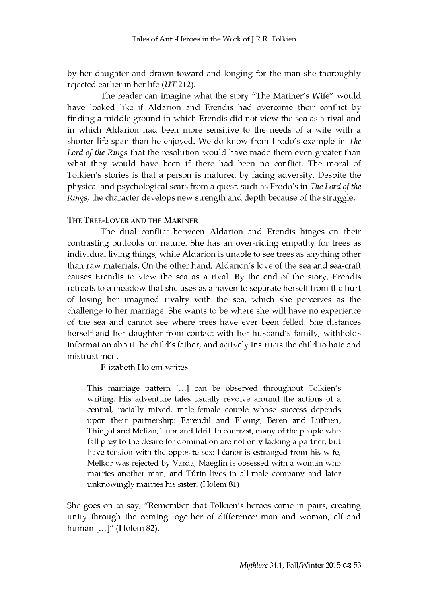by her daughter and drawn toward and longing for the man she thoroughly rejected earlier in her life  $(UT 212)$ .

The reader can imagine what the story "The Mariner's Wife" would have looked like if Aldarion and Erendis had overcome their conflict by finding a middle ground in which Erendis did not view the sea as a rival and in which Aldarion had been more sensitive to the needs of a wife with a shorter life-span than he enjoyed. We do know from Frodo's example in *The Lord of the Rings* that the resolution would have made them even greater than what they would have been if there had been no conflict. The moral of Tolkien's stories is that a person is matured by facing adversity. Despite the physical and psychological scars from a quest, such as Frodo's in *The Lord of the Rings,* the character develops new strength and depth because of the struggle.

#### THE TREE-LOVER AND THE MARINER

The dual conflict between Aldarion and Erendis hinges on their contrasting outlooks on nature. She has an over-riding empathy for trees as individual living things, while Aldarion is unable to see trees as anything other than raw materials. On the other hand, Aldarion's love of the sea and sea-craft causes Erendis to view the sea as a rival. By the end of the story, Erendis retreats to a meadow that she uses as a haven to separate herself from the hurt of losing her imagined rivalry with the sea, which she perceives as the challenge to her marriage. She wants to be where she will have no experience of the sea and cannot see where trees have ever been felled. She distances herself and her daughter from contact with her husband's family, withholds information about the child's father, and actively instructs the child to hate and mistrust men.

Elizabeth Holem writes:

This marriage pattern [...] can be observed throughout Tolkien's writing. His adventure tales usually revolve around the actions of a central, racially mixed, male-female couple whose success depends upon their partnership: Eärendil and Elwing, Beren and Lúthien, Thingol and Melian, Tuor and Idril. In contrast, many of the people who fall prey to the desire for domination are not only lacking a partner, but have tension with the opposite sex: Feanor is estranged from his wife, Melkor was rejected by Varda, Maeglin is obsessed with a woman who marries another man, and Túrin lives in all-male company and later unknow ingly m arries his sister. (Holem 81)

She goes on to say, "Remember that Tolkien's heroes come in pairs, creating unity through the coming together of difference: man and woman, elf and human [...]" (Holem 82).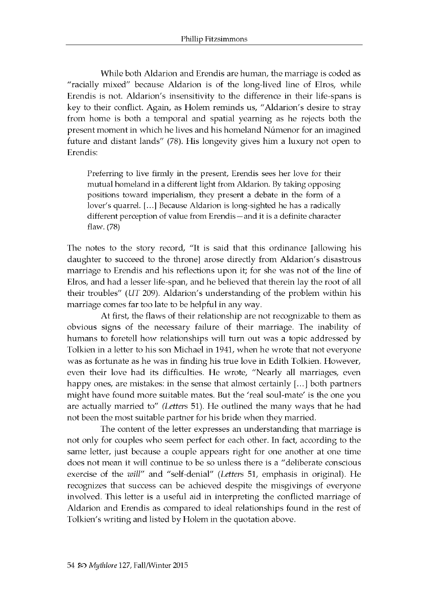While both Aldarion and Erendis are human, the marriage is coded as "racially mixed" because Aldarion is of the long-lived line of Elros, while Erendis is not. Aldarion's insensitivity to the difference in their life-spans is key to their conflict. Again, as Holem reminds us, "Aldarion's desire to stray from home is both a temporal and spatial yearning as he rejects both the present moment in which he lives and his homeland Númenor for an imagined future and distant lands" (78). His longevity gives him a luxury not open to Erendis:

Preferring to live firmly in the present, Erendis sees her love for their mutual homeland in a different light from Aldarion. By taking opposing positions toward imperialism, they present a debate in the form of a lover's quarrel. [...] Because Aldarion is long-sighted he has a radically different perception of value from Erendis —and it is a definite character flaw. (78)

The notes to the story record, "It is said that this ordinance [allowing his daughter to succeed to the throne] arose directly from Aldarion's disastrous marriage to Erendis and his reflections upon it; for she was not of the line of Elros, and had a lesser life-span, and he believed that therein lay the root of all their troubles" *(UT 209)*. Aldarion's understanding of the problem within his marriage comes far too late to be helpful in any way.

At first, the flaws of their relationship are not recognizable to them as obvious signs of the necessary failure of their marriage. The inability of humans to foretell how relationships will turn out was a topic addressed by Tolkien in a letter to his son Michael in 1941, when he wrote that not everyone was as fortunate as he was in finding his true love in Edith Tolkien. However, even their love had its difficulties. He wrote, "Nearly all marriages, even happy ones, are mistakes: in the sense that almost certainly  $[...]$  both partners might have found more suitable mates. But the 'real soul-mate' is the one you are actually married to" (Letters 51). He outlined the many ways that he had not been the most suitable partner for his bride when they married.

The content of the letter expresses an understanding that marriage is not only for couples who seem perfect for each other. In fact, according to the same letter, just because a couple appears right for one another at one time does not mean it will continue to be so unless there is a "deliberate conscious" exercise of the *will"* and "self-denial" (Letters 51, emphasis in original). He recognizes that success can be achieved despite the misgivings of everyone involved. This letter is a useful aid in interpreting the conflicted marriage of Aldarion and Erendis as compared to ideal relationships found in the rest of Tolkien's writing and listed by Holem in the quotation above.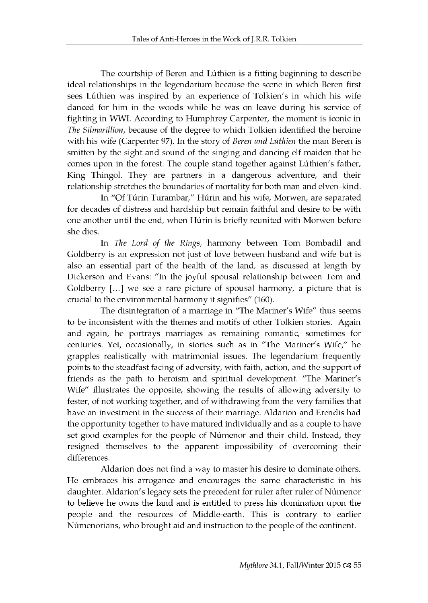The courtship of Beren and Lúthien is a fitting beginning to describe ideal relationships in the legendarium because the scene in which Beren first sees Lúthien was inspired by an experience of Tolkien's in which his wife danced for him in the woods while he was on leave during his service of fighting in WWI. According to Humphrey Carpenter, the moment is iconic in *The Silmarillion*, because of the degree to which Tolkien identified the heroine with his wife (Carpenter 97). In the story of *Beren and Lúthien* the man Beren is smitten by the sight and sound of the singing and dancing elf maiden that he comes upon in the forest. The couple stand together against Lúthien's father, King Thingol. They are partners in a dangerous adventure, and their relationship stretches the boundaries of mortality for both man and elven-kind.

In "Of Túrin Turambar," Húrin and his wife, Morwen, are separated for decades of distress and hardship but remain faithful and desire to be with one another until the end, when Húrin is briefly reunited with Morwen before she dies.

In *The Lord of the Rings*, harmony between Tom Bombadil and Goldberry is an expression not just of love between husband and wife but is also an essential part of the health of the land, as discussed at length by Dickerson and Evans: "In the joyful spousal relationship between Tom and Goldberry [...] we see a rare picture of spousal harmony, a picture that is crucial to the environmental harmony it signifies" (160).

The disintegration of a marriage in "The Mariner's Wife" thus seems to be inconsistent with the themes and motifs of other Tolkien stories. Again and again, he portrays marriages as remaining romantic, sometimes for centuries. Yet, occasionally, in stories such as in "The Mariner's Wife," he grapples realistically with matrimonial issues. The legendarium frequently points to the steadfast facing of adversity, with faith, action, and the support of friends as the path to heroism and spiritual development. "The Mariner's Wife" illustrates the opposite, showing the results of allowing adversity to fester, of not working together, and of withdrawing from the very families that have an investment in the success of their marriage. Aldarion and Erendis had the opportunity together to have matured individually and as a couple to have set good examples for the people of Númenor and their child. Instead, they resigned themselves to the apparent impossibility of overcoming their differences.

Aldarion does not find a way to master his desire to dominate others. He embraces his arrogance and encourages the same characteristic in his daughter. Aldarion's legacy sets the precedent for ruler after ruler of Númenor to believe he owns the land and is entitled to press his domination upon the people and the resources of Middle-earth. This is contrary to earlier Númenorians, who brought aid and instruction to the people of the continent.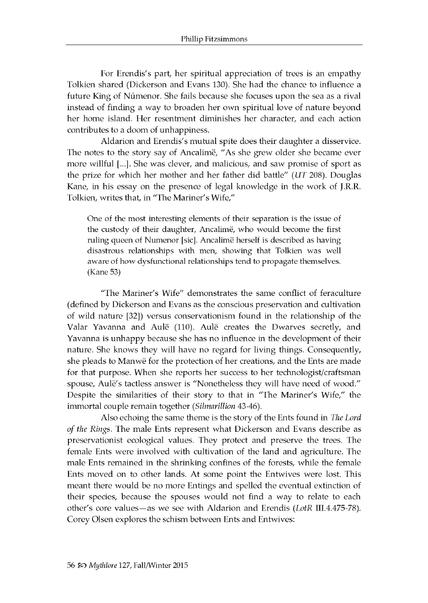For Erendis's part, her spiritual appreciation of trees is an empathy Tolkien shared (Dickerson and Evans 130). She had the chance to influence a future King of Númenor. She fails because she focuses upon the sea as a rival instead of finding a way to broaden her own spiritual love of nature beyond her home island. Her resentment diminishes her character, and each action contributes to a doom of unhappiness.

Aldarion and Erendis's mutual spite does their daughter a disservice. The notes to the story say of Ancalimë, "As she grew older she became ever more willful [...]. She was clever, and malicious, and saw promise of sport as the prize for which her mother and her father did battle" *(UT 208)*. Douglas Kane, in his essay on the presence of legal knowledge in the work of J.R.R. Tolkien, writes that, in "The Mariner's Wife,"

One of the most interesting elements of their separation is the issue of the custody of their daughter, Ancalimë, who would become the first ruling queen of Numenor [sic]. Ancalimë herself is described as having disastrous relationships with men, showing that Tolkien was well aware of how dysfunctional relationships tend to propagate themselves. (Kane 53)

"The Mariner's Wife" demonstrates the same conflict of feraculture (defined by Dickerson and Evans as the conscious preservation and cultivation of wild nature  $[32]$ ) versus conservationism found in the relationship of the Valar Yavanna and Aulë (110). Aulë creates the Dwarves secretly, and Yavanna is unhappy because she has no influence in the development of their nature. She knows they will have no regard for living things. Consequently, she pleads to Manwë for the protection of her creations, and the Ents are made for that purpose. When she reports her success to her technologist/craftsman spouse, Aulë's tactless answer is "Nonetheless they will have need of wood." Despite the similarities of their story to that in "The Mariner's Wife," the immortal couple remain together *(Silmarillion* 43-46).

Also echoing the same theme is the story of the Ents found in *The Lord of the Rings.* The male Ents represent what Dickerson and Evans describe as preservationist ecological values. They protect and preserve the trees. The female Ents were involved with cultivation of the land and agriculture. The male Ents remained in the shrinking confines of the forests, while the female Ents moved on to other lands. At some point the Entwives were lost. This meant there would be no more Entings and spelled the eventual extinction of their species, because the spouses would not find a way to relate to each other's core values—as we see with Aldarion and Erendis *(LotR III.4.475-78).* Corey Olsen explores the schism between Ents and Entwives: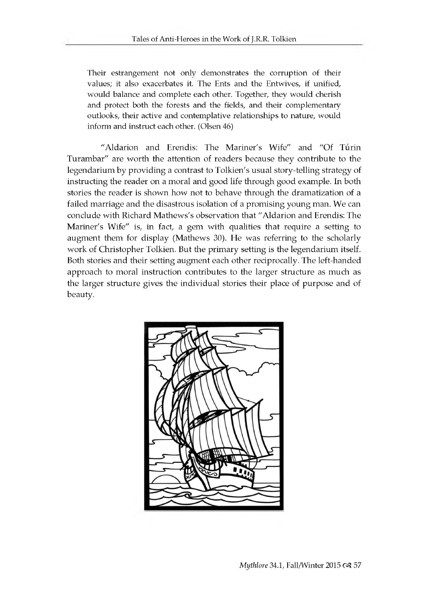Their estrangement not only demonstrates the corruption of their values; it also exacerbates it. The Ents and the Entwives, if unified, would balance and complete each other. Together, they would cherish and protect both the forests and the fields, and their complementary outlooks, their active and contemplative relationships to nature, would inform and instruct each other. (Olsen 46)

"Aldarion and Erendis: The Mariner's Wife" and "Of Turin Turambar" are worth the attention of readers because they contribute to the legendarium by providing a contrast to Tolkien's usual story-telling strategy of in structing the reader on a moral and good life through good example. In both stories the reader is shown how not to behave through the dramatization of a failed marriage and the disastrous isolation of a promising young man. We can conclude with Richard Mathews's observation that "Aldarion and Erendis: The Mariner's Wife" is, in fact, a gem with qualities that require a setting to augment them for display (Mathews 30). He was referring to the scholarly work of Christopher Tolkien. But the primary setting is the legendarium itself. Both stories and their setting augment each other reciprocally. The left-handed approach to moral instruction contributes to the larger structure as much as the larger structure gives the individual stories their place of purpose and of beauty.